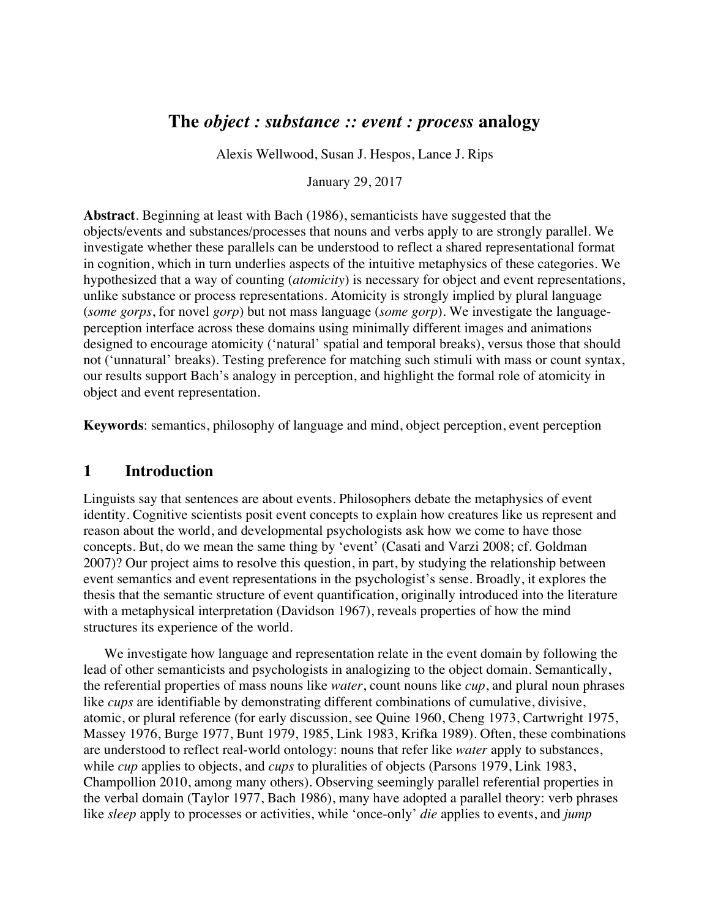# **The** *object : substance :: event : process* **analogy**

Alexis Wellwood, Susan J. Hespos, Lance J. Rips

January 29, 2017

**Abstract**. Beginning at least with Bach (1986), semanticists have suggested that the objects/events and substances/processes that nouns and verbs apply to are strongly parallel. We investigate whether these parallels can be understood to reflect a shared representational format in cognition, which in turn underlies aspects of the intuitive metaphysics of these categories. We hypothesized that a way of counting (*atomicity*) is necessary for object and event representations, unlike substance or process representations. Atomicity is strongly implied by plural language (*some gorps*, for novel *gorp*) but not mass language (*some gorp*). We investigate the languageperception interface across these domains using minimally different images and animations designed to encourage atomicity ('natural' spatial and temporal breaks), versus those that should not ('unnatural' breaks). Testing preference for matching such stimuli with mass or count syntax, our results support Bach's analogy in perception, and highlight the formal role of atomicity in object and event representation.

**Keywords**: semantics, philosophy of language and mind, object perception, event perception

# **1 Introduction**

Linguists say that sentences are about events. Philosophers debate the metaphysics of event identity. Cognitive scientists posit event concepts to explain how creatures like us represent and reason about the world, and developmental psychologists ask how we come to have those concepts. But, do we mean the same thing by 'event' (Casati and Varzi 2008; cf. Goldman 2007)? Our project aims to resolve this question, in part, by studying the relationship between event semantics and event representations in the psychologist's sense. Broadly, it explores the thesis that the semantic structure of event quantification, originally introduced into the literature with a metaphysical interpretation (Davidson 1967), reveals properties of how the mind structures its experience of the world.

We investigate how language and representation relate in the event domain by following the lead of other semanticists and psychologists in analogizing to the object domain. Semantically, the referential properties of mass nouns like *water*, count nouns like *cup*, and plural noun phrases like *cups* are identifiable by demonstrating different combinations of cumulative, divisive, atomic, or plural reference (for early discussion, see Quine 1960, Cheng 1973, Cartwright 1975, Massey 1976, Burge 1977, Bunt 1979, 1985, Link 1983, Krifka 1989). Often, these combinations are understood to reflect real-world ontology: nouns that refer like *water* apply to substances, while *cup* applies to objects, and *cups* to pluralities of objects (Parsons 1979, Link 1983, Champollion 2010, among many others). Observing seemingly parallel referential properties in the verbal domain (Taylor 1977, Bach 1986), many have adopted a parallel theory: verb phrases like *sleep* apply to processes or activities, while 'once-only' *die* applies to events, and *jump*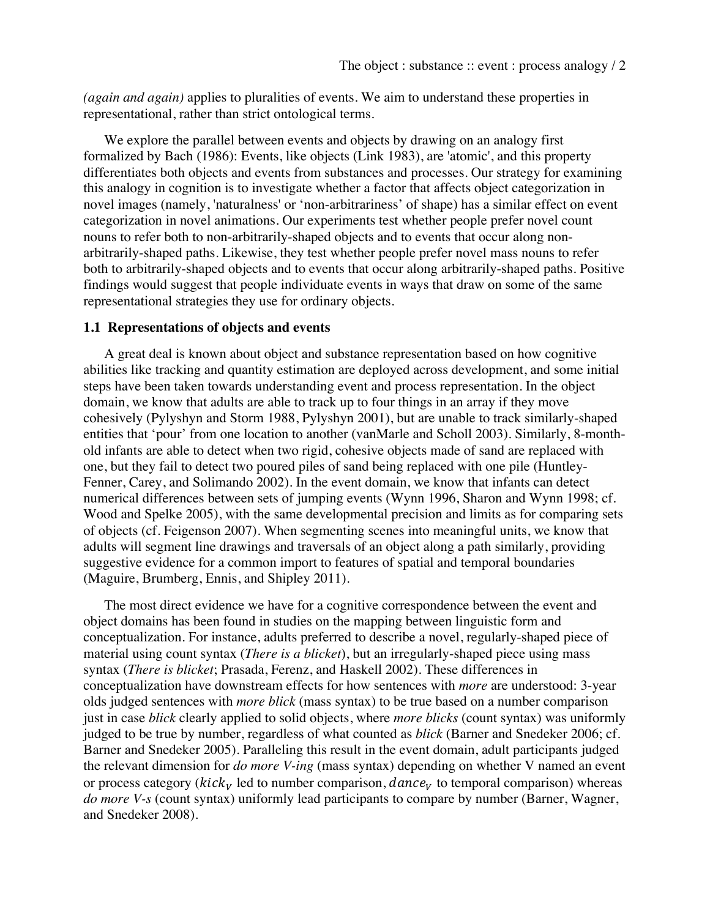*(again and again)* applies to pluralities of events. We aim to understand these properties in representational, rather than strict ontological terms.

We explore the parallel between events and objects by drawing on an analogy first formalized by Bach (1986): Events, like objects (Link 1983), are 'atomic', and this property differentiates both objects and events from substances and processes. Our strategy for examining this analogy in cognition is to investigate whether a factor that affects object categorization in novel images (namely, 'naturalness' or 'non-arbitrariness' of shape) has a similar effect on event categorization in novel animations. Our experiments test whether people prefer novel count nouns to refer both to non-arbitrarily-shaped objects and to events that occur along nonarbitrarily-shaped paths. Likewise, they test whether people prefer novel mass nouns to refer both to arbitrarily-shaped objects and to events that occur along arbitrarily-shaped paths. Positive findings would suggest that people individuate events in ways that draw on some of the same representational strategies they use for ordinary objects.

#### **1.1 Representations of objects and events**

A great deal is known about object and substance representation based on how cognitive abilities like tracking and quantity estimation are deployed across development, and some initial steps have been taken towards understanding event and process representation. In the object domain, we know that adults are able to track up to four things in an array if they move cohesively (Pylyshyn and Storm 1988, Pylyshyn 2001), but are unable to track similarly-shaped entities that 'pour' from one location to another (vanMarle and Scholl 2003). Similarly, 8-monthold infants are able to detect when two rigid, cohesive objects made of sand are replaced with one, but they fail to detect two poured piles of sand being replaced with one pile (Huntley-Fenner, Carey, and Solimando 2002). In the event domain, we know that infants can detect numerical differences between sets of jumping events (Wynn 1996, Sharon and Wynn 1998; cf. Wood and Spelke 2005), with the same developmental precision and limits as for comparing sets of objects (cf. Feigenson 2007). When segmenting scenes into meaningful units, we know that adults will segment line drawings and traversals of an object along a path similarly, providing suggestive evidence for a common import to features of spatial and temporal boundaries (Maguire, Brumberg, Ennis, and Shipley 2011).

The most direct evidence we have for a cognitive correspondence between the event and object domains has been found in studies on the mapping between linguistic form and conceptualization. For instance, adults preferred to describe a novel, regularly-shaped piece of material using count syntax (*There is a blicket*), but an irregularly-shaped piece using mass syntax (*There is blicket*; Prasada, Ferenz, and Haskell 2002). These differences in conceptualization have downstream effects for how sentences with *more* are understood: 3-year olds judged sentences with *more blick* (mass syntax) to be true based on a number comparison just in case *blick* clearly applied to solid objects, where *more blicks* (count syntax) was uniformly judged to be true by number, regardless of what counted as *blick* (Barner and Snedeker 2006; cf. Barner and Snedeker 2005). Paralleling this result in the event domain, adult participants judged the relevant dimension for *do more V-ing* (mass syntax) depending on whether V named an event or process category ( $kick_V$  led to number comparison,  $dance_V$  to temporal comparison) whereas *do more V-s* (count syntax) uniformly lead participants to compare by number (Barner, Wagner, and Snedeker 2008).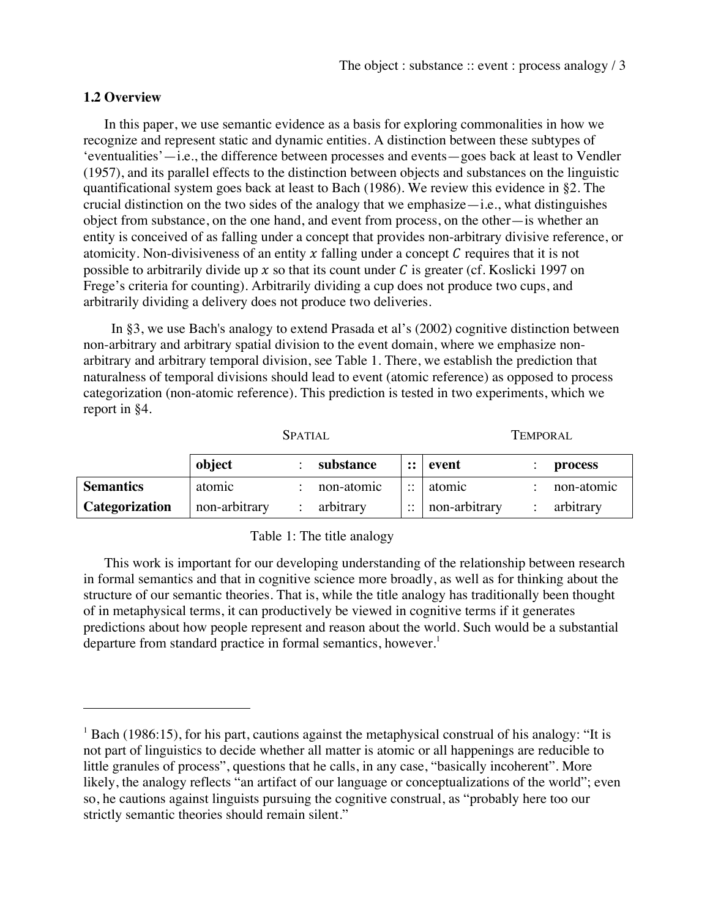#### **1.2 Overview**

 

In this paper, we use semantic evidence as a basis for exploring commonalities in how we recognize and represent static and dynamic entities. A distinction between these subtypes of 'eventualities'—i.e., the difference between processes and events—goes back at least to Vendler (1957), and its parallel effects to the distinction between objects and substances on the linguistic quantificational system goes back at least to Bach (1986). We review this evidence in §2. The crucial distinction on the two sides of the analogy that we emphasize—i.e., what distinguishes object from substance, on the one hand, and event from process, on the other—is whether an entity is conceived of as falling under a concept that provides non-arbitrary divisive reference, or atomicity. Non-divisiveness of an entity  $x$  falling under a concept  $C$  requires that it is not possible to arbitrarily divide up  $x$  so that its count under C is greater (cf. Koslicki 1997 on Frege's criteria for counting). Arbitrarily dividing a cup does not produce two cups, and arbitrarily dividing a delivery does not produce two deliveries.

In §3, we use Bach's analogy to extend Prasada et al's (2002) cognitive distinction between non-arbitrary and arbitrary spatial division to the event domain, where we emphasize nonarbitrary and arbitrary temporal division, see Table 1. There, we establish the prediction that naturalness of temporal divisions should lead to event (atomic reference) as opposed to process categorization (non-atomic reference). This prediction is tested in two experiments, which we report in §4.

|                       | <b>SPATIAL</b> |  |            | Temporal                          |                       |  |            |
|-----------------------|----------------|--|------------|-----------------------------------|-----------------------|--|------------|
|                       | object         |  | substance  |                                   | $\mathrel{::}$ levent |  | process    |
| <b>Semantics</b>      | atomic         |  | non-atomic | $\cdot \cdot$<br>$\cdot \cdot$    | atomic                |  | non-atomic |
| <b>Categorization</b> | non-arbitrary  |  | arbitrary  | $\ddot{\phantom{0}}$<br>$\ddotsc$ | non-arbitrary         |  | arbitrary  |

#### Table 1: The title analogy

This work is important for our developing understanding of the relationship between research in formal semantics and that in cognitive science more broadly, as well as for thinking about the structure of our semantic theories. That is, while the title analogy has traditionally been thought of in metaphysical terms, it can productively be viewed in cognitive terms if it generates predictions about how people represent and reason about the world. Such would be a substantial departure from standard practice in formal semantics, however.<sup>1</sup>

 $1$  Bach (1986:15), for his part, cautions against the metaphysical construal of his analogy: "It is not part of linguistics to decide whether all matter is atomic or all happenings are reducible to little granules of process", questions that he calls, in any case, "basically incoherent". More likely, the analogy reflects "an artifact of our language or conceptualizations of the world"; even so, he cautions against linguists pursuing the cognitive construal, as "probably here too our strictly semantic theories should remain silent."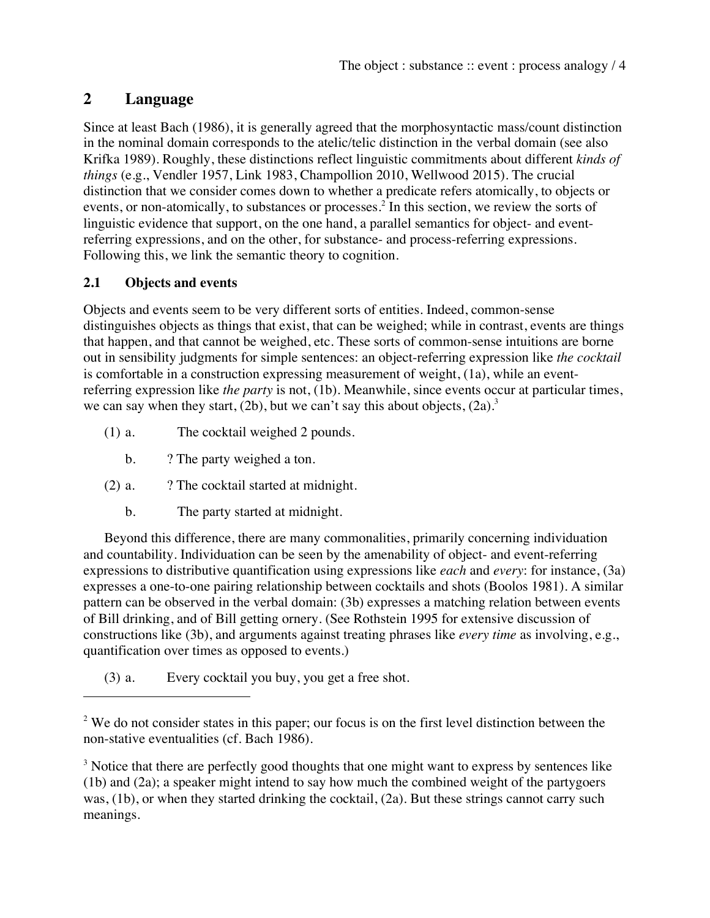# **2 Language**

Since at least Bach (1986), it is generally agreed that the morphosyntactic mass/count distinction in the nominal domain corresponds to the atelic/telic distinction in the verbal domain (see also Krifka 1989). Roughly, these distinctions reflect linguistic commitments about different *kinds of things* (e.g., Vendler 1957, Link 1983, Champollion 2010, Wellwood 2015). The crucial distinction that we consider comes down to whether a predicate refers atomically, to objects or events, or non-atomically, to substances or processes.<sup>2</sup> In this section, we review the sorts of linguistic evidence that support, on the one hand, a parallel semantics for object- and eventreferring expressions, and on the other, for substance- and process-referring expressions. Following this, we link the semantic theory to cognition.

# **2.1 Objects and events**

 

Objects and events seem to be very different sorts of entities. Indeed, common-sense distinguishes objects as things that exist, that can be weighed; while in contrast, events are things that happen, and that cannot be weighed, etc. These sorts of common-sense intuitions are borne out in sensibility judgments for simple sentences: an object-referring expression like *the cocktail* is comfortable in a construction expressing measurement of weight, (1a), while an eventreferring expression like *the party* is not, (1b). Meanwhile, since events occur at particular times, we can say when they start, (2b), but we can't say this about objects,  $(2a)$ .

- (1) a. The cocktail weighed 2 pounds.
	- b. ? The party weighed a ton.
- $(2)$  a.  $\therefore$  ? The cocktail started at midnight.
	- b. The party started at midnight.

Beyond this difference, there are many commonalities, primarily concerning individuation and countability. Individuation can be seen by the amenability of object- and event-referring expressions to distributive quantification using expressions like *each* and *every*: for instance, (3a) expresses a one-to-one pairing relationship between cocktails and shots (Boolos 1981). A similar pattern can be observed in the verbal domain: (3b) expresses a matching relation between events of Bill drinking, and of Bill getting ornery. (See Rothstein 1995 for extensive discussion of constructions like (3b), and arguments against treating phrases like *every time* as involving, e.g., quantification over times as opposed to events.)

(3) a. Every cocktail you buy, you get a free shot.

<sup>3</sup> Notice that there are perfectly good thoughts that one might want to express by sentences like (1b) and (2a); a speaker might intend to say how much the combined weight of the partygoers was, (1b), or when they started drinking the cocktail, (2a). But these strings cannot carry such meanings.

<sup>&</sup>lt;sup>2</sup> We do not consider states in this paper; our focus is on the first level distinction between the non-stative eventualities (cf. Bach 1986).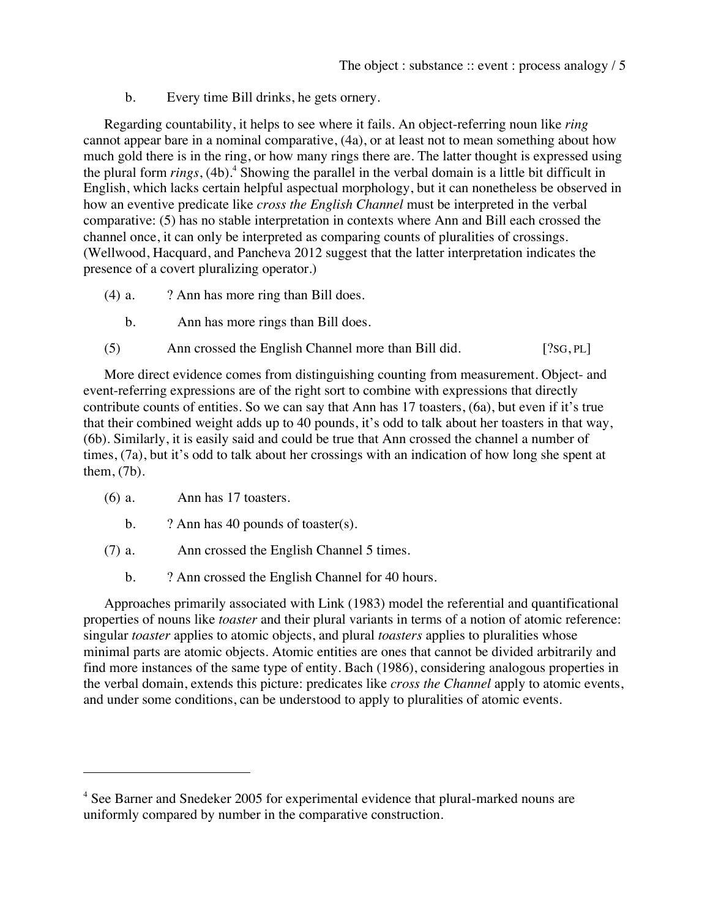b. Every time Bill drinks, he gets ornery.

Regarding countability, it helps to see where it fails. An object-referring noun like *ring* cannot appear bare in a nominal comparative, (4a), or at least not to mean something about how much gold there is in the ring, or how many rings there are. The latter thought is expressed using the plural form *rings*, (4b). <sup>4</sup> Showing the parallel in the verbal domain is a little bit difficult in English, which lacks certain helpful aspectual morphology, but it can nonetheless be observed in how an eventive predicate like *cross the English Channel* must be interpreted in the verbal comparative: (5) has no stable interpretation in contexts where Ann and Bill each crossed the channel once, it can only be interpreted as comparing counts of pluralities of crossings. (Wellwood, Hacquard, and Pancheva 2012 suggest that the latter interpretation indicates the presence of a covert pluralizing operator.)

- (4) a. ? Ann has more ring than Bill does.
	- b. Ann has more rings than Bill does.
- (5) Ann crossed the English Channel more than Bill did. [?SG, PL]

More direct evidence comes from distinguishing counting from measurement. Object- and event-referring expressions are of the right sort to combine with expressions that directly contribute counts of entities. So we can say that Ann has 17 toasters, (6a), but even if it's true that their combined weight adds up to 40 pounds, it's odd to talk about her toasters in that way, (6b). Similarly, it is easily said and could be true that Ann crossed the channel a number of times, (7a), but it's odd to talk about her crossings with an indication of how long she spent at them, (7b).

(6) a. Ann has 17 toasters.

 

- b. ? Ann has 40 pounds of toaster(s).
- (7) a. Ann crossed the English Channel 5 times.
	- b. ? Ann crossed the English Channel for 40 hours.

Approaches primarily associated with Link (1983) model the referential and quantificational properties of nouns like *toaster* and their plural variants in terms of a notion of atomic reference: singular *toaster* applies to atomic objects, and plural *toasters* applies to pluralities whose minimal parts are atomic objects. Atomic entities are ones that cannot be divided arbitrarily and find more instances of the same type of entity. Bach (1986), considering analogous properties in the verbal domain, extends this picture: predicates like *cross the Channel* apply to atomic events, and under some conditions, can be understood to apply to pluralities of atomic events.

<sup>4</sup> See Barner and Snedeker 2005 for experimental evidence that plural-marked nouns are uniformly compared by number in the comparative construction.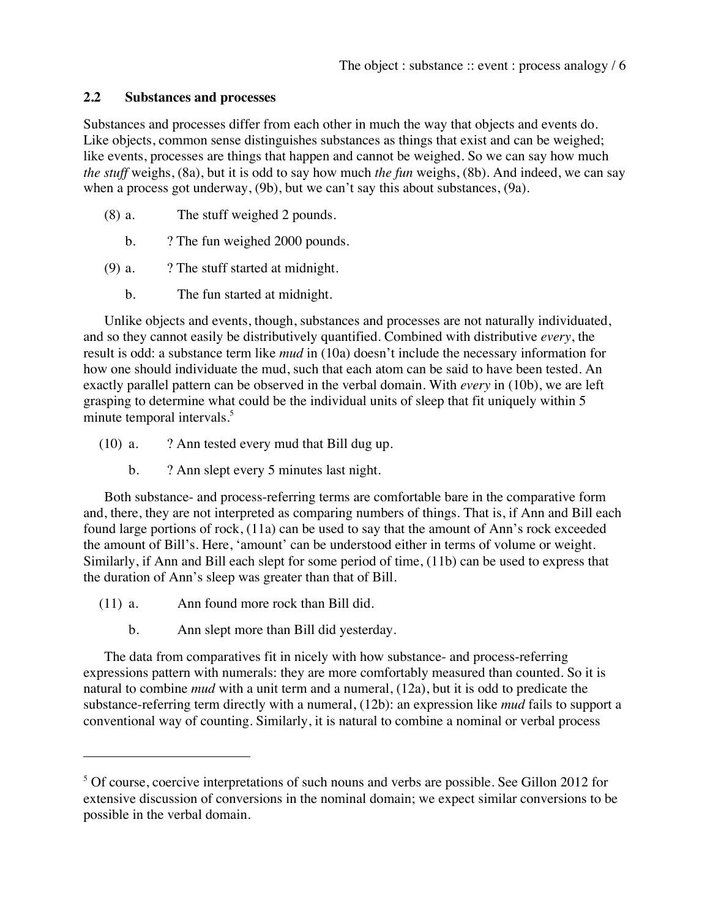### **2.2 Substances and processes**

Substances and processes differ from each other in much the way that objects and events do. Like objects, common sense distinguishes substances as things that exist and can be weighed; like events, processes are things that happen and cannot be weighed. So we can say how much *the stuff* weighs, (8a), but it is odd to say how much *the fun* weighs, (8b). And indeed, we can say when a process got underway, (9b), but we can't say this about substances, (9a).

- (8) a. The stuff weighed 2 pounds.
	- b. ? The fun weighed 2000 pounds.
- (9) a. ? The stuff started at midnight.
	- b. The fun started at midnight.

Unlike objects and events, though, substances and processes are not naturally individuated, and so they cannot easily be distributively quantified. Combined with distributive *every*, the result is odd: a substance term like *mud* in (10a) doesn't include the necessary information for how one should individuate the mud, such that each atom can be said to have been tested. An exactly parallel pattern can be observed in the verbal domain. With *every* in (10b), we are left grasping to determine what could be the individual units of sleep that fit uniquely within 5 minute temporal intervals.<sup>5</sup>

- $(10)$  a. ? Ann tested every mud that Bill dug up.
	- b. ? Ann slept every 5 minutes last night.

Both substance- and process-referring terms are comfortable bare in the comparative form and, there, they are not interpreted as comparing numbers of things. That is, if Ann and Bill each found large portions of rock, (11a) can be used to say that the amount of Ann's rock exceeded the amount of Bill's. Here, 'amount' can be understood either in terms of volume or weight. Similarly, if Ann and Bill each slept for some period of time, (11b) can be used to express that the duration of Ann's sleep was greater than that of Bill.

(11) a. Ann found more rock than Bill did.

 

b. Ann slept more than Bill did yesterday.

The data from comparatives fit in nicely with how substance- and process-referring expressions pattern with numerals: they are more comfortably measured than counted. So it is natural to combine *mud* with a unit term and a numeral, (12a), but it is odd to predicate the substance-referring term directly with a numeral, (12b): an expression like *mud* fails to support a conventional way of counting. Similarly, it is natural to combine a nominal or verbal process

<sup>&</sup>lt;sup>5</sup> Of course, coercive interpretations of such nouns and verbs are possible. See Gillon 2012 for extensive discussion of conversions in the nominal domain; we expect similar conversions to be possible in the verbal domain.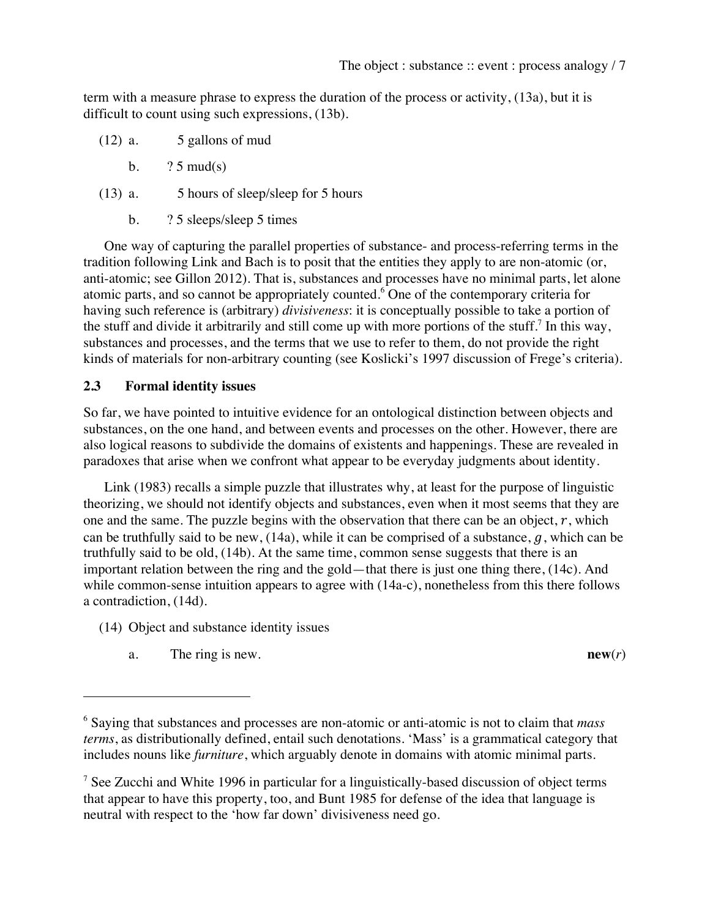term with a measure phrase to express the duration of the process or activity, (13a), but it is difficult to count using such expressions, (13b).

- $(12)$  a. 5 gallons of mud
	- b.  $?5 \text{ mud}(s)$
- (13) a. 5 hours of sleep/sleep for 5 hours
	- b. ? 5 sleeps/sleep 5 times

One way of capturing the parallel properties of substance- and process-referring terms in the tradition following Link and Bach is to posit that the entities they apply to are non-atomic (or, anti-atomic; see Gillon 2012). That is, substances and processes have no minimal parts, let alone atomic parts, and so cannot be appropriately counted.<sup>6</sup> One of the contemporary criteria for having such reference is (arbitrary) *divisiveness*: it is conceptually possible to take a portion of the stuff and divide it arbitrarily and still come up with more portions of the stuff.<sup>7</sup> In this way, substances and processes, and the terms that we use to refer to them, do not provide the right kinds of materials for non-arbitrary counting (see Koslicki's 1997 discussion of Frege's criteria).

#### **2.3 Formal identity issues**

So far, we have pointed to intuitive evidence for an ontological distinction between objects and substances, on the one hand, and between events and processes on the other. However, there are also logical reasons to subdivide the domains of existents and happenings. These are revealed in paradoxes that arise when we confront what appear to be everyday judgments about identity.

Link (1983) recalls a simple puzzle that illustrates why, at least for the purpose of linguistic theorizing, we should not identify objects and substances, even when it most seems that they are one and the same. The puzzle begins with the observation that there can be an object,  $r$ , which can be truthfully said to be new,  $(14a)$ , while it can be comprised of a substance,  $q$ , which can be truthfully said to be old, (14b). At the same time, common sense suggests that there is an important relation between the ring and the gold—that there is just one thing there, (14c). And while common-sense intuition appears to agree with (14a-c), nonetheless from this there follows a contradiction, (14d).

- (14) Object and substance identity issues
	- a. The ring is new. **new**(*r*)

 

<sup>6</sup> Saying that substances and processes are non-atomic or anti-atomic is not to claim that *mass terms*, as distributionally defined, entail such denotations. 'Mass' is a grammatical category that includes nouns like *furniture*, which arguably denote in domains with atomic minimal parts.

<sup>&</sup>lt;sup>7</sup> See Zucchi and White 1996 in particular for a linguistically-based discussion of object terms that appear to have this property, too, and Bunt 1985 for defense of the idea that language is neutral with respect to the 'how far down' divisiveness need go.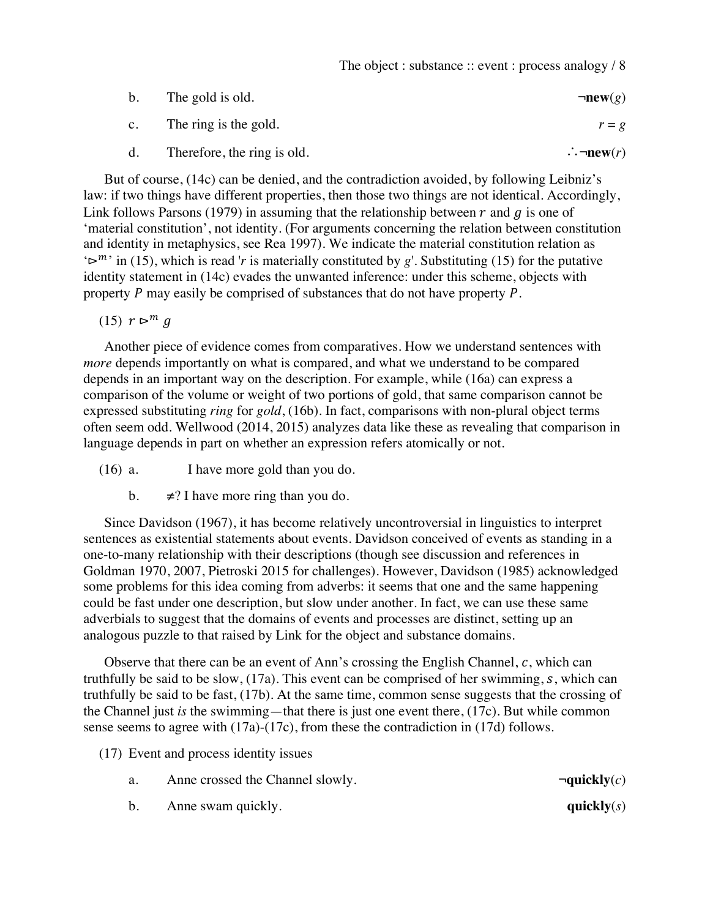| b.             | The gold is old.            | $\neg new(g)$            |
|----------------|-----------------------------|--------------------------|
| $\mathbf{c}$ . | The ring is the gold.       | $r = g$                  |
| d.             | Therefore, the ring is old. | $\therefore \neg new(r)$ |

But of course, (14c) can be denied, and the contradiction avoided, by following Leibniz's law: if two things have different properties, then those two things are not identical. Accordingly, Link follows Parsons (1979) in assuming that the relationship between  $r$  and  $q$  is one of 'material constitution', not identity. (For arguments concerning the relation between constitution and identity in metaphysics, see Rea 1997). We indicate the material constitution relation as  $\sum_{i}^{m}$  in (15), which is read '*r* is materially constituted by *g*'. Substituting (15) for the putative identity statement in (14c) evades the unwanted inference: under this scheme, objects with property  $P$  may easily be comprised of substances that do not have property  $P$ .

(15)  $r \geq m q$ 

Another piece of evidence comes from comparatives. How we understand sentences with *more* depends importantly on what is compared, and what we understand to be compared depends in an important way on the description. For example, while (16a) can express a comparison of the volume or weight of two portions of gold, that same comparison cannot be expressed substituting *ring* for *gold*, (16b). In fact, comparisons with non-plural object terms often seem odd. Wellwood (2014, 2015) analyzes data like these as revealing that comparison in language depends in part on whether an expression refers atomically or not.

(16) a. I have more gold than you do.

b.  $\neq$ ? I have more ring than you do.

Since Davidson (1967), it has become relatively uncontroversial in linguistics to interpret sentences as existential statements about events. Davidson conceived of events as standing in a one-to-many relationship with their descriptions (though see discussion and references in Goldman 1970, 2007, Pietroski 2015 for challenges). However, Davidson (1985) acknowledged some problems for this idea coming from adverbs: it seems that one and the same happening could be fast under one description, but slow under another. In fact, we can use these same adverbials to suggest that the domains of events and processes are distinct, setting up an analogous puzzle to that raised by Link for the object and substance domains.

Observe that there can be an event of Ann's crossing the English Channel,  $c$ , which can truthfully be said to be slow,  $(17a)$ . This event can be comprised of her swimming, s, which can truthfully be said to be fast, (17b). At the same time, common sense suggests that the crossing of the Channel just *is* the swimming—that there is just one event there, (17c). But while common sense seems to agree with (17a)-(17c), from these the contradiction in (17d) follows.

(17) Event and process identity issues

- a. Anne crossed the Channel slowly.  $\Box$   $\Box$   $\Box$   $\Box$   $\Box$
- b. Anne swam quickly. **quickly**(*s*)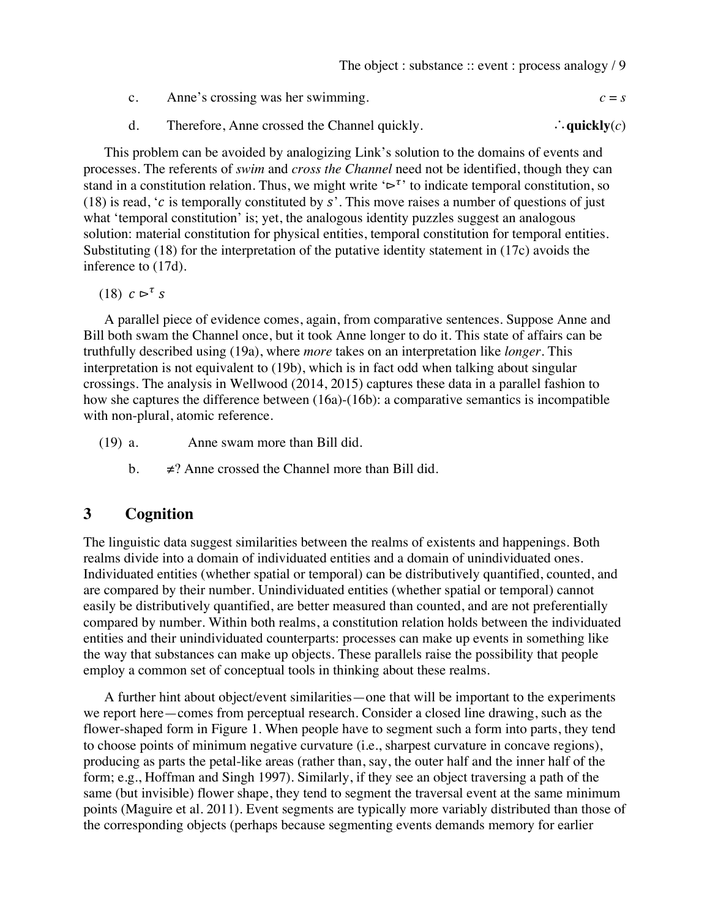- c. Anne's crossing was her swimming.  $c = s$
- d. Therefore, Anne crossed the Channel quickly. ∴**quickly**(*c*)

This problem can be avoided by analogizing Link's solution to the domains of events and processes. The referents of *swim* and *cross the Channel* need not be identified, though they can stand in a constitution relation. Thus, we might write  $\mathcal{L}^{\tau}$  to indicate temporal constitution, so (18) is read, 'c is temporally constituted by s'. This move raises a number of questions of just what 'temporal constitution' is; yet, the analogous identity puzzles suggest an analogous solution: material constitution for physical entities, temporal constitution for temporal entities. Substituting (18) for the interpretation of the putative identity statement in (17c) avoids the inference to (17d).

(18)  $c \rhd^{\tau} s$ 

A parallel piece of evidence comes, again, from comparative sentences. Suppose Anne and Bill both swam the Channel once, but it took Anne longer to do it. This state of affairs can be truthfully described using (19a), where *more* takes on an interpretation like *longer*. This interpretation is not equivalent to (19b), which is in fact odd when talking about singular crossings. The analysis in Wellwood (2014, 2015) captures these data in a parallel fashion to how she captures the difference between (16a)-(16b): a comparative semantics is incompatible with non-plural, atomic reference.

(19) a. Anne swam more than Bill did.

b.  $\neq$ ? Anne crossed the Channel more than Bill did.

# **3 Cognition**

The linguistic data suggest similarities between the realms of existents and happenings. Both realms divide into a domain of individuated entities and a domain of unindividuated ones. Individuated entities (whether spatial or temporal) can be distributively quantified, counted, and are compared by their number. Unindividuated entities (whether spatial or temporal) cannot easily be distributively quantified, are better measured than counted, and are not preferentially compared by number. Within both realms, a constitution relation holds between the individuated entities and their unindividuated counterparts: processes can make up events in something like the way that substances can make up objects. These parallels raise the possibility that people employ a common set of conceptual tools in thinking about these realms.

A further hint about object/event similarities—one that will be important to the experiments we report here—comes from perceptual research. Consider a closed line drawing, such as the flower-shaped form in Figure 1. When people have to segment such a form into parts, they tend to choose points of minimum negative curvature (i.e., sharpest curvature in concave regions), producing as parts the petal-like areas (rather than, say, the outer half and the inner half of the form; e.g., Hoffman and Singh 1997). Similarly, if they see an object traversing a path of the same (but invisible) flower shape, they tend to segment the traversal event at the same minimum points (Maguire et al. 2011). Event segments are typically more variably distributed than those of the corresponding objects (perhaps because segmenting events demands memory for earlier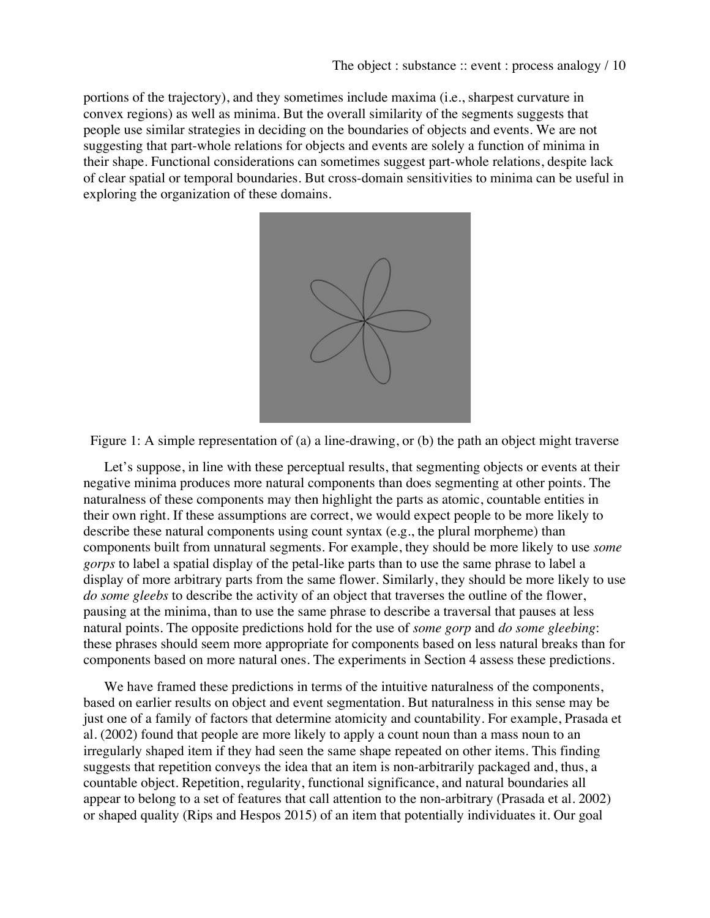portions of the trajectory), and they sometimes include maxima (i.e., sharpest curvature in convex regions) as well as minima. But the overall similarity of the segments suggests that people use similar strategies in deciding on the boundaries of objects and events. We are not suggesting that part-whole relations for objects and events are solely a function of minima in their shape. Functional considerations can sometimes suggest part-whole relations, despite lack of clear spatial or temporal boundaries. But cross-domain sensitivities to minima can be useful in exploring the organization of these domains.



Figure 1: A simple representation of (a) a line-drawing, or (b) the path an object might traverse

Let's suppose, in line with these perceptual results, that segmenting objects or events at their negative minima produces more natural components than does segmenting at other points. The naturalness of these components may then highlight the parts as atomic, countable entities in their own right. If these assumptions are correct, we would expect people to be more likely to describe these natural components using count syntax (e.g., the plural morpheme) than components built from unnatural segments. For example, they should be more likely to use *some gorps* to label a spatial display of the petal-like parts than to use the same phrase to label a display of more arbitrary parts from the same flower. Similarly, they should be more likely to use *do some gleebs* to describe the activity of an object that traverses the outline of the flower, pausing at the minima, than to use the same phrase to describe a traversal that pauses at less natural points. The opposite predictions hold for the use of *some gorp* and *do some gleebing*: these phrases should seem more appropriate for components based on less natural breaks than for components based on more natural ones. The experiments in Section 4 assess these predictions.

We have framed these predictions in terms of the intuitive naturalness of the components, based on earlier results on object and event segmentation. But naturalness in this sense may be just one of a family of factors that determine atomicity and countability. For example, Prasada et al. (2002) found that people are more likely to apply a count noun than a mass noun to an irregularly shaped item if they had seen the same shape repeated on other items. This finding suggests that repetition conveys the idea that an item is non-arbitrarily packaged and, thus, a countable object. Repetition, regularity, functional significance, and natural boundaries all appear to belong to a set of features that call attention to the non-arbitrary (Prasada et al. 2002) or shaped quality (Rips and Hespos 2015) of an item that potentially individuates it. Our goal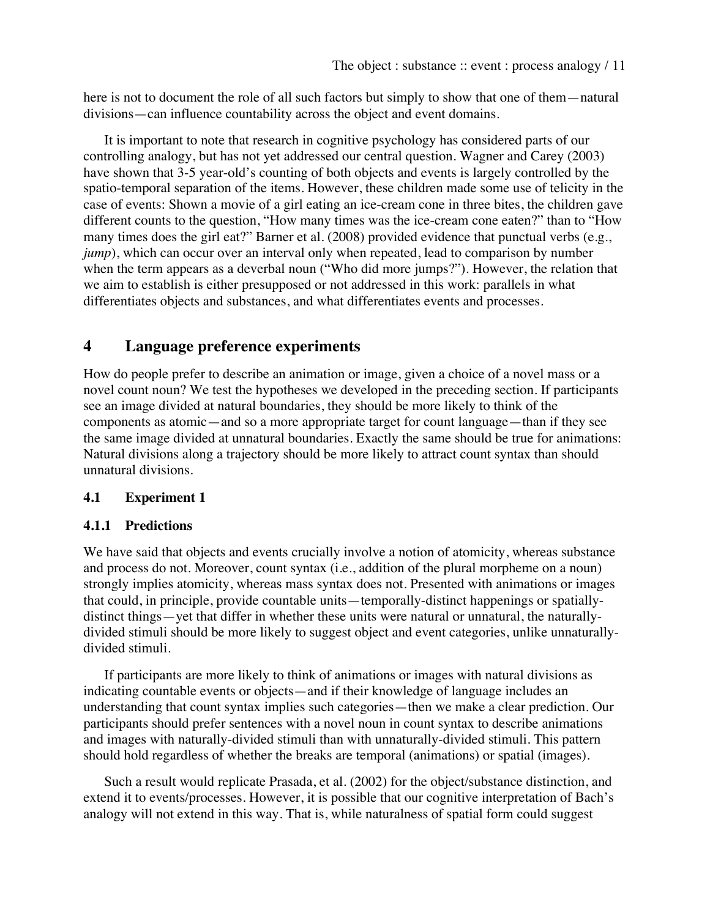here is not to document the role of all such factors but simply to show that one of them—natural divisions—can influence countability across the object and event domains.

It is important to note that research in cognitive psychology has considered parts of our controlling analogy, but has not yet addressed our central question. Wagner and Carey (2003) have shown that 3-5 year-old's counting of both objects and events is largely controlled by the spatio-temporal separation of the items. However, these children made some use of telicity in the case of events: Shown a movie of a girl eating an ice-cream cone in three bites, the children gave different counts to the question, "How many times was the ice-cream cone eaten?" than to "How many times does the girl eat?" Barner et al. (2008) provided evidence that punctual verbs (e.g., *jump*), which can occur over an interval only when repeated, lead to comparison by number when the term appears as a deverbal noun ("Who did more jumps?")*.* However, the relation that we aim to establish is either presupposed or not addressed in this work: parallels in what differentiates objects and substances, and what differentiates events and processes.

# **4 Language preference experiments**

How do people prefer to describe an animation or image, given a choice of a novel mass or a novel count noun? We test the hypotheses we developed in the preceding section. If participants see an image divided at natural boundaries, they should be more likely to think of the components as atomic—and so a more appropriate target for count language—than if they see the same image divided at unnatural boundaries. Exactly the same should be true for animations: Natural divisions along a trajectory should be more likely to attract count syntax than should unnatural divisions.

#### **4.1 Experiment 1**

#### **4.1.1 Predictions**

We have said that objects and events crucially involve a notion of atomicity, whereas substance and process do not. Moreover, count syntax (i.e., addition of the plural morpheme on a noun) strongly implies atomicity, whereas mass syntax does not. Presented with animations or images that could, in principle, provide countable units—temporally-distinct happenings or spatiallydistinct things—yet that differ in whether these units were natural or unnatural, the naturallydivided stimuli should be more likely to suggest object and event categories, unlike unnaturallydivided stimuli.

If participants are more likely to think of animations or images with natural divisions as indicating countable events or objects—and if their knowledge of language includes an understanding that count syntax implies such categories—then we make a clear prediction. Our participants should prefer sentences with a novel noun in count syntax to describe animations and images with naturally-divided stimuli than with unnaturally-divided stimuli. This pattern should hold regardless of whether the breaks are temporal (animations) or spatial (images).

Such a result would replicate Prasada, et al. (2002) for the object/substance distinction, and extend it to events/processes. However, it is possible that our cognitive interpretation of Bach's analogy will not extend in this way. That is, while naturalness of spatial form could suggest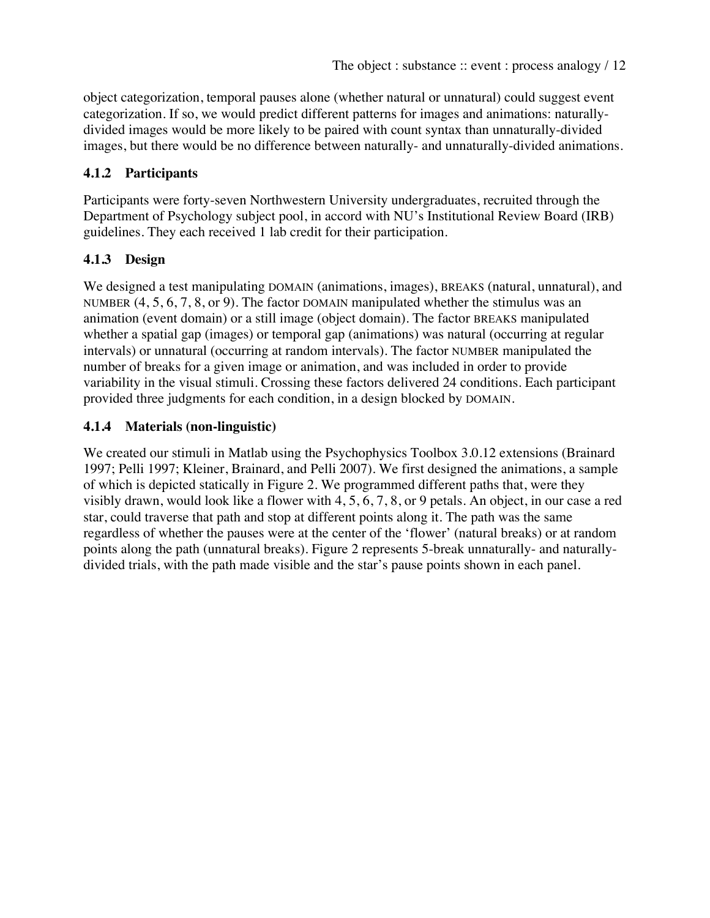object categorization, temporal pauses alone (whether natural or unnatural) could suggest event categorization. If so, we would predict different patterns for images and animations: naturallydivided images would be more likely to be paired with count syntax than unnaturally-divided images, but there would be no difference between naturally- and unnaturally-divided animations.

# **4.1.2 Participants**

Participants were forty-seven Northwestern University undergraduates, recruited through the Department of Psychology subject pool, in accord with NU's Institutional Review Board (IRB) guidelines. They each received 1 lab credit for their participation.

# **4.1.3 Design**

We designed a test manipulating DOMAIN (animations, images), BREAKS (natural, unnatural), and NUMBER  $(4, 5, 6, 7, 8, or 9)$ . The factor DOMAIN manipulated whether the stimulus was an animation (event domain) or a still image (object domain). The factor BREAKS manipulated whether a spatial gap (images) or temporal gap (animations) was natural (occurring at regular intervals) or unnatural (occurring at random intervals). The factor NUMBER manipulated the number of breaks for a given image or animation, and was included in order to provide variability in the visual stimuli. Crossing these factors delivered 24 conditions. Each participant provided three judgments for each condition, in a design blocked by DOMAIN.

# **4.1.4 Materials (non-linguistic)**

We created our stimuli in Matlab using the Psychophysics Toolbox 3.0.12 extensions (Brainard 1997; Pelli 1997; Kleiner, Brainard, and Pelli 2007). We first designed the animations, a sample of which is depicted statically in Figure 2. We programmed different paths that, were they visibly drawn, would look like a flower with 4, 5, 6, 7, 8, or 9 petals. An object, in our case a red star, could traverse that path and stop at different points along it. The path was the same regardless of whether the pauses were at the center of the 'flower' (natural breaks) or at random points along the path (unnatural breaks). Figure 2 represents 5-break unnaturally- and naturallydivided trials, with the path made visible and the star's pause points shown in each panel.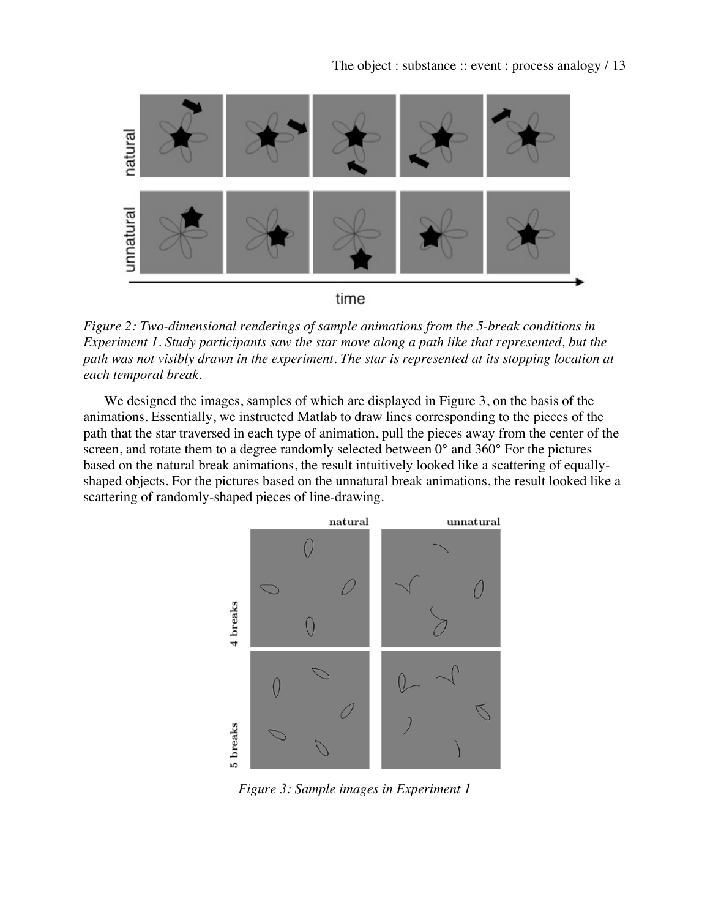

*Figure 2: Two-dimensional renderings of sample animations from the 5-break conditions in Experiment 1. Study participants saw the star move along a path like that represented, but the path was not visibly drawn in the experiment. The star is represented at its stopping location at each temporal break.*

We designed the images, samples of which are displayed in Figure 3, on the basis of the animations. Essentially, we instructed Matlab to draw lines corresponding to the pieces of the path that the star traversed in each type of animation, pull the pieces away from the center of the screen, and rotate them to a degree randomly selected between  $0^{\circ}$  and 360° For the pictures based on the natural break animations, the result intuitively looked like a scattering of equallyshaped objects. For the pictures based on the unnatural break animations, the result looked like a scattering of randomly-shaped pieces of line-drawing.



*Figure 3: Sample images in Experiment 1*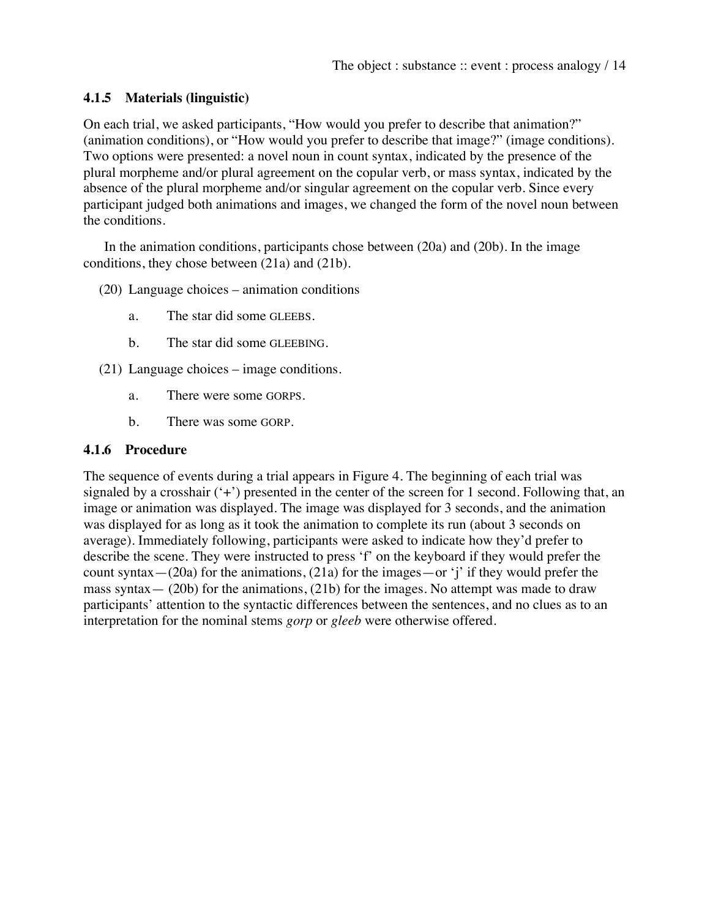### **4.1.5 Materials (linguistic)**

On each trial, we asked participants, "How would you prefer to describe that animation?" (animation conditions), or "How would you prefer to describe that image?" (image conditions). Two options were presented: a novel noun in count syntax, indicated by the presence of the plural morpheme and/or plural agreement on the copular verb, or mass syntax, indicated by the absence of the plural morpheme and/or singular agreement on the copular verb. Since every participant judged both animations and images, we changed the form of the novel noun between the conditions.

In the animation conditions, participants chose between (20a) and (20b). In the image conditions, they chose between (21a) and (21b).

- (20) Language choices animation conditions
	- a. The star did some GLEEBS.
	- b. The star did some GLEEBING.
- (21) Language choices image conditions.
	- a. There were some GORPS.
	- b. There was some GORP.

### **4.1.6 Procedure**

The sequence of events during a trial appears in Figure 4. The beginning of each trial was signaled by a crosshair ('+') presented in the center of the screen for 1 second. Following that, an image or animation was displayed. The image was displayed for 3 seconds, and the animation was displayed for as long as it took the animation to complete its run (about 3 seconds on average). Immediately following, participants were asked to indicate how they'd prefer to describe the scene. They were instructed to press 'f' on the keyboard if they would prefer the count syntax— $(20a)$  for the animations,  $(21a)$  for the images—or 'j' if they would prefer the mass syntax— (20b) for the animations, (21b) for the images. No attempt was made to draw participants' attention to the syntactic differences between the sentences, and no clues as to an interpretation for the nominal stems *gorp* or *gleeb* were otherwise offered.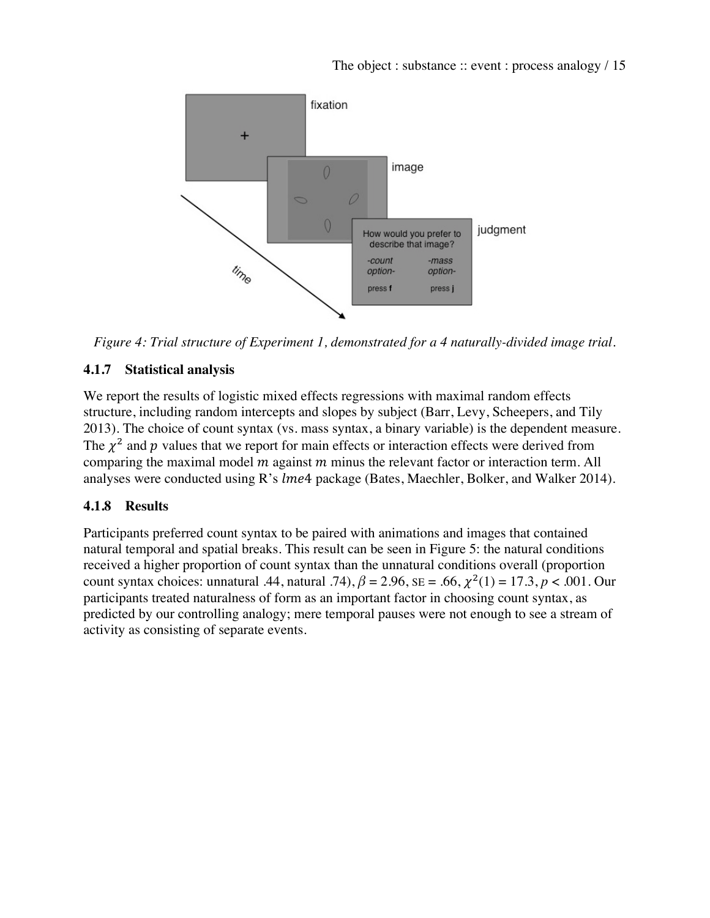

*Figure 4: Trial structure of Experiment 1, demonstrated for a 4 naturally-divided image trial.*

# **4.1.7 Statistical analysis**

We report the results of logistic mixed effects regressions with maximal random effects structure, including random intercepts and slopes by subject (Barr, Levy, Scheepers, and Tily 2013). The choice of count syntax (vs. mass syntax, a binary variable) is the dependent measure. The  $\chi^2$  and p values that we report for main effects or interaction effects were derived from comparing the maximal model  $m$  against  $m$  minus the relevant factor or interaction term. All analyses were conducted using  $R$ 's  $l$ me4 package (Bates, Maechler, Bolker, and Walker 2014).

# **4.1.8 Results**

Participants preferred count syntax to be paired with animations and images that contained natural temporal and spatial breaks. This result can be seen in Figure 5: the natural conditions received a higher proportion of count syntax than the unnatural conditions overall (proportion count syntax choices: unnatural .44, natural .74),  $\beta = 2.96$ ,  $SE = .66$ ,  $\chi^2(1) = 17.3$ ,  $p < .001$ . Our participants treated naturalness of form as an important factor in choosing count syntax, as predicted by our controlling analogy; mere temporal pauses were not enough to see a stream of activity as consisting of separate events.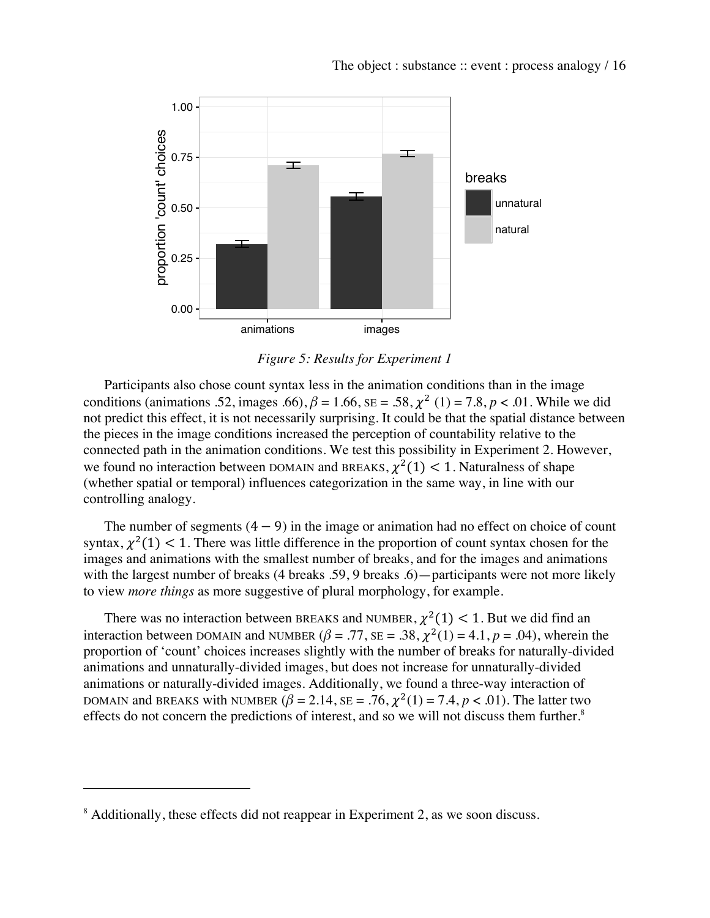

*Figure 5: Results for Experiment 1*

Participants also chose count syntax less in the animation conditions than in the image conditions (animations .52, images .66),  $\beta = 1.66$ ,  $SE = .58$ ,  $\chi^2$  (1) = 7.8, *p* < .01. While we did not predict this effect, it is not necessarily surprising. It could be that the spatial distance between the pieces in the image conditions increased the perception of countability relative to the connected path in the animation conditions. We test this possibility in Experiment 2. However, we found no interaction between DOMAIN and BREAKS,  $\chi^2(1)$  < 1. Naturalness of shape (whether spatial or temporal) influences categorization in the same way, in line with our controlling analogy.

The number of segments  $(4 - 9)$  in the image or animation had no effect on choice of count syntax,  $\chi^2(1)$  < 1. There was little difference in the proportion of count syntax chosen for the images and animations with the smallest number of breaks, and for the images and animations with the largest number of breaks (4 breaks .59, 9 breaks .6) — participants were not more likely to view *more things* as more suggestive of plural morphology, for example.

There was no interaction between BREAKS and NUMBER,  $\chi^2(1)$  < 1. But we did find an interaction between DOMAIN and NUMBER ( $\beta$  = .77, SE = .38,  $\chi^2(1)$  = 4.1,  $p$  = .04), wherein the proportion of 'count' choices increases slightly with the number of breaks for naturally-divided animations and unnaturally-divided images, but does not increase for unnaturally-divided animations or naturally-divided images. Additionally, we found a three-way interaction of DOMAIN and BREAKS with NUMBER  $(\beta = 2.14, \text{SE} = .76, \chi^2(1) = 7.4, p < .01)$ . The latter two effects do not concern the predictions of interest, and so we will not discuss them further.<sup>8</sup>

 

<sup>&</sup>lt;sup>8</sup> Additionally, these effects did not reappear in Experiment 2, as we soon discuss.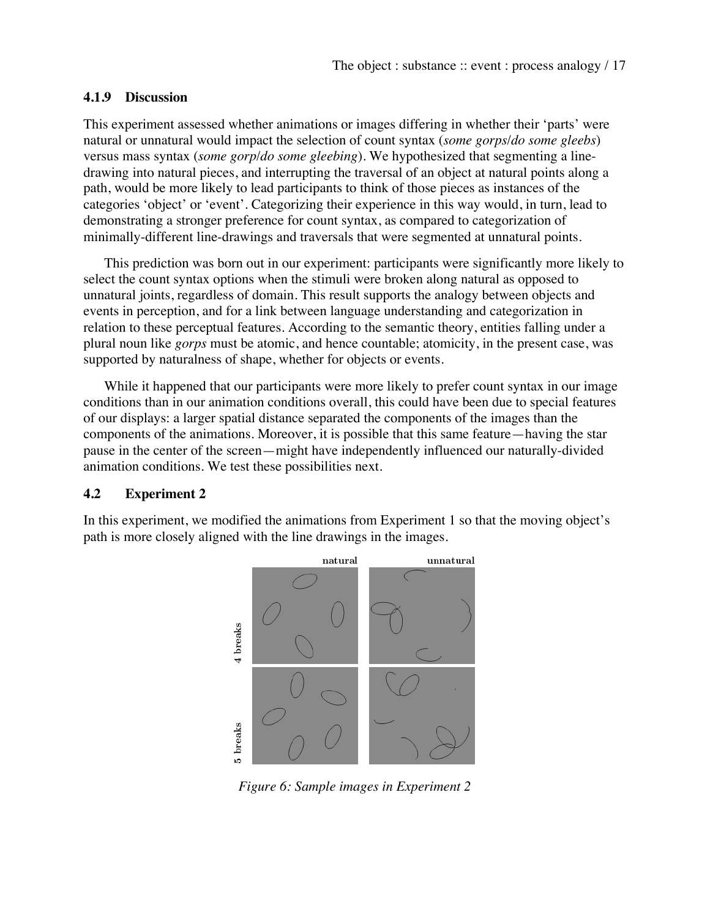#### **4.1.9 Discussion**

This experiment assessed whether animations or images differing in whether their 'parts' were natural or unnatural would impact the selection of count syntax (*some gorps*/*do some gleebs*) versus mass syntax (*some gorp*/*do some gleebing*). We hypothesized that segmenting a linedrawing into natural pieces, and interrupting the traversal of an object at natural points along a path, would be more likely to lead participants to think of those pieces as instances of the categories 'object' or 'event'. Categorizing their experience in this way would, in turn, lead to demonstrating a stronger preference for count syntax, as compared to categorization of minimally-different line-drawings and traversals that were segmented at unnatural points.

This prediction was born out in our experiment: participants were significantly more likely to select the count syntax options when the stimuli were broken along natural as opposed to unnatural joints, regardless of domain. This result supports the analogy between objects and events in perception, and for a link between language understanding and categorization in relation to these perceptual features. According to the semantic theory, entities falling under a plural noun like *gorps* must be atomic, and hence countable; atomicity, in the present case, was supported by naturalness of shape, whether for objects or events.

While it happened that our participants were more likely to prefer count syntax in our image conditions than in our animation conditions overall, this could have been due to special features of our displays: a larger spatial distance separated the components of the images than the components of the animations. Moreover, it is possible that this same feature—having the star pause in the center of the screen—might have independently influenced our naturally-divided animation conditions. We test these possibilities next.

#### **4.2 Experiment 2**

In this experiment, we modified the animations from Experiment 1 so that the moving object's path is more closely aligned with the line drawings in the images.



*Figure 6: Sample images in Experiment 2*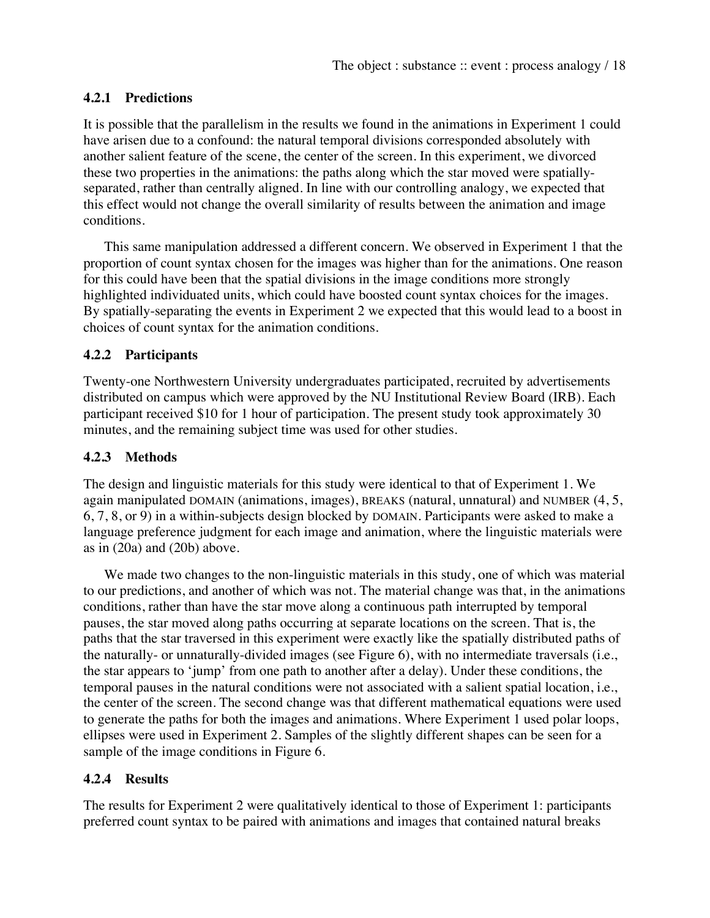# **4.2.1 Predictions**

It is possible that the parallelism in the results we found in the animations in Experiment 1 could have arisen due to a confound: the natural temporal divisions corresponded absolutely with another salient feature of the scene, the center of the screen. In this experiment, we divorced these two properties in the animations: the paths along which the star moved were spatiallyseparated, rather than centrally aligned. In line with our controlling analogy, we expected that this effect would not change the overall similarity of results between the animation and image conditions.

This same manipulation addressed a different concern. We observed in Experiment 1 that the proportion of count syntax chosen for the images was higher than for the animations. One reason for this could have been that the spatial divisions in the image conditions more strongly highlighted individuated units, which could have boosted count syntax choices for the images. By spatially-separating the events in Experiment 2 we expected that this would lead to a boost in choices of count syntax for the animation conditions.

### **4.2.2 Participants**

Twenty-one Northwestern University undergraduates participated, recruited by advertisements distributed on campus which were approved by the NU Institutional Review Board (IRB). Each participant received \$10 for 1 hour of participation. The present study took approximately 30 minutes, and the remaining subject time was used for other studies.

### **4.2.3 Methods**

The design and linguistic materials for this study were identical to that of Experiment 1. We again manipulated DOMAIN (animations, images), BREAKS (natural, unnatural) and NUMBER (4, 5, 6, 7, 8, or 9) in a within-subjects design blocked by DOMAIN. Participants were asked to make a language preference judgment for each image and animation, where the linguistic materials were as in (20a) and (20b) above.

We made two changes to the non-linguistic materials in this study, one of which was material to our predictions, and another of which was not. The material change was that, in the animations conditions, rather than have the star move along a continuous path interrupted by temporal pauses, the star moved along paths occurring at separate locations on the screen. That is, the paths that the star traversed in this experiment were exactly like the spatially distributed paths of the naturally- or unnaturally-divided images (see Figure 6), with no intermediate traversals (i.e., the star appears to 'jump' from one path to another after a delay). Under these conditions, the temporal pauses in the natural conditions were not associated with a salient spatial location, i.e., the center of the screen. The second change was that different mathematical equations were used to generate the paths for both the images and animations. Where Experiment 1 used polar loops, ellipses were used in Experiment 2. Samples of the slightly different shapes can be seen for a sample of the image conditions in Figure 6.

### **4.2.4 Results**

The results for Experiment 2 were qualitatively identical to those of Experiment 1: participants preferred count syntax to be paired with animations and images that contained natural breaks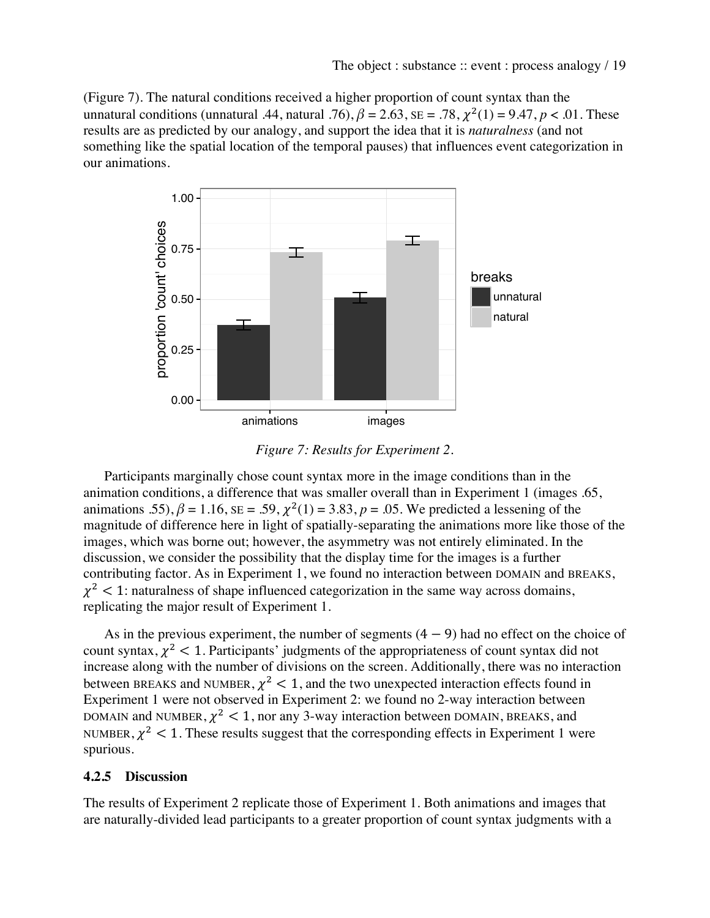(Figure 7). The natural conditions received a higher proportion of count syntax than the unnatural conditions (unnatural .44, natural .76),  $\beta = 2.63$ ,  $SE = .78$ ,  $\chi^2(1) = 9.47$ ,  $p < .01$ . These results are as predicted by our analogy, and support the idea that it is *naturalness* (and not something like the spatial location of the temporal pauses) that influences event categorization in our animations.



*Figure 7: Results for Experiment 2.*

Participants marginally chose count syntax more in the image conditions than in the animation conditions, a difference that was smaller overall than in Experiment 1 (images .65, animations .55),  $\beta = 1.16$ ,  $SE = .59$ ,  $\chi^2(1) = 3.83$ ,  $p = .05$ . We predicted a lessening of the magnitude of difference here in light of spatially-separating the animations more like those of the images, which was borne out; however, the asymmetry was not entirely eliminated. In the discussion, we consider the possibility that the display time for the images is a further contributing factor. As in Experiment 1, we found no interaction between DOMAIN and BREAKS,  $\chi^2$  < 1: naturalness of shape influenced categorization in the same way across domains, replicating the major result of Experiment 1.

As in the previous experiment, the number of segments  $(4 - 9)$  had no effect on the choice of count syntax,  $\chi^2$  < 1. Participants' judgments of the appropriateness of count syntax did not increase along with the number of divisions on the screen. Additionally, there was no interaction between BREAKS and NUMBER,  $\chi^2$  < 1, and the two unexpected interaction effects found in Experiment 1 were not observed in Experiment 2: we found no 2-way interaction between DOMAIN and NUMBER,  $\chi^2$  < 1, nor any 3-way interaction between DOMAIN, BREAKS, and NUMBER,  $\chi^2$  < 1. These results suggest that the corresponding effects in Experiment 1 were spurious.

#### **4.2.5 Discussion**

The results of Experiment 2 replicate those of Experiment 1. Both animations and images that are naturally-divided lead participants to a greater proportion of count syntax judgments with a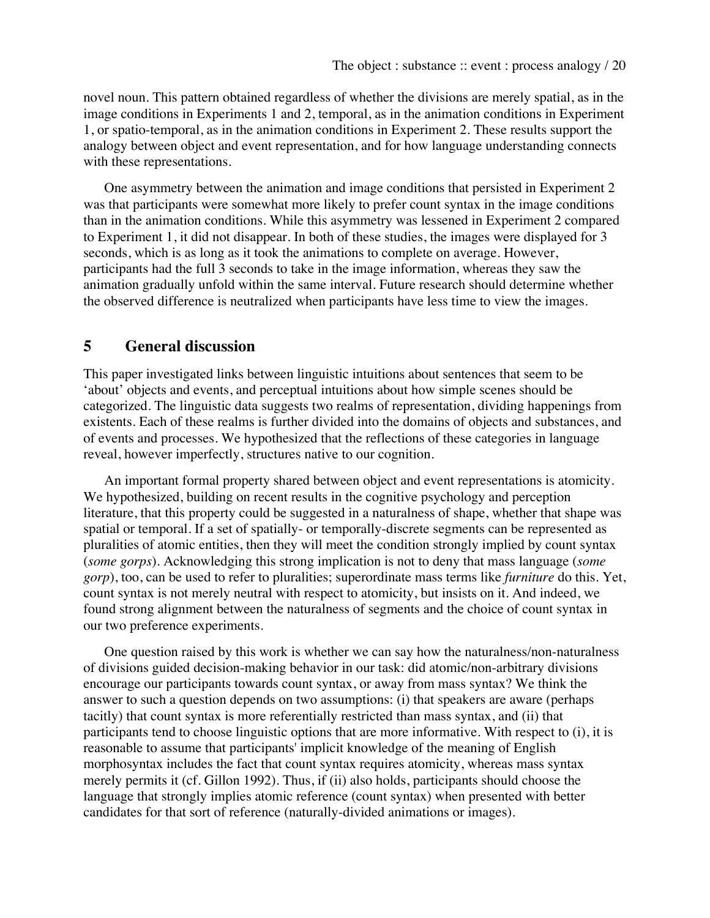novel noun. This pattern obtained regardless of whether the divisions are merely spatial, as in the image conditions in Experiments 1 and 2, temporal, as in the animation conditions in Experiment 1, or spatio-temporal, as in the animation conditions in Experiment 2. These results support the analogy between object and event representation, and for how language understanding connects with these representations.

One asymmetry between the animation and image conditions that persisted in Experiment 2 was that participants were somewhat more likely to prefer count syntax in the image conditions than in the animation conditions. While this asymmetry was lessened in Experiment 2 compared to Experiment 1, it did not disappear. In both of these studies, the images were displayed for 3 seconds, which is as long as it took the animations to complete on average. However, participants had the full 3 seconds to take in the image information, whereas they saw the animation gradually unfold within the same interval. Future research should determine whether the observed difference is neutralized when participants have less time to view the images.

### **5 General discussion**

This paper investigated links between linguistic intuitions about sentences that seem to be 'about' objects and events, and perceptual intuitions about how simple scenes should be categorized. The linguistic data suggests two realms of representation, dividing happenings from existents. Each of these realms is further divided into the domains of objects and substances, and of events and processes. We hypothesized that the reflections of these categories in language reveal, however imperfectly, structures native to our cognition.

An important formal property shared between object and event representations is atomicity. We hypothesized, building on recent results in the cognitive psychology and perception literature, that this property could be suggested in a naturalness of shape, whether that shape was spatial or temporal. If a set of spatially- or temporally-discrete segments can be represented as pluralities of atomic entities, then they will meet the condition strongly implied by count syntax (*some gorps*). Acknowledging this strong implication is not to deny that mass language (*some gorp*), too, can be used to refer to pluralities; superordinate mass terms like *furniture* do this. Yet, count syntax is not merely neutral with respect to atomicity, but insists on it. And indeed, we found strong alignment between the naturalness of segments and the choice of count syntax in our two preference experiments.

One question raised by this work is whether we can say how the naturalness/non-naturalness of divisions guided decision-making behavior in our task: did atomic/non-arbitrary divisions encourage our participants towards count syntax, or away from mass syntax? We think the answer to such a question depends on two assumptions: (i) that speakers are aware (perhaps tacitly) that count syntax is more referentially restricted than mass syntax, and (ii) that participants tend to choose linguistic options that are more informative. With respect to (i), it is reasonable to assume that participants' implicit knowledge of the meaning of English morphosyntax includes the fact that count syntax requires atomicity, whereas mass syntax merely permits it (cf. Gillon 1992). Thus, if (ii) also holds, participants should choose the language that strongly implies atomic reference (count syntax) when presented with better candidates for that sort of reference (naturally-divided animations or images).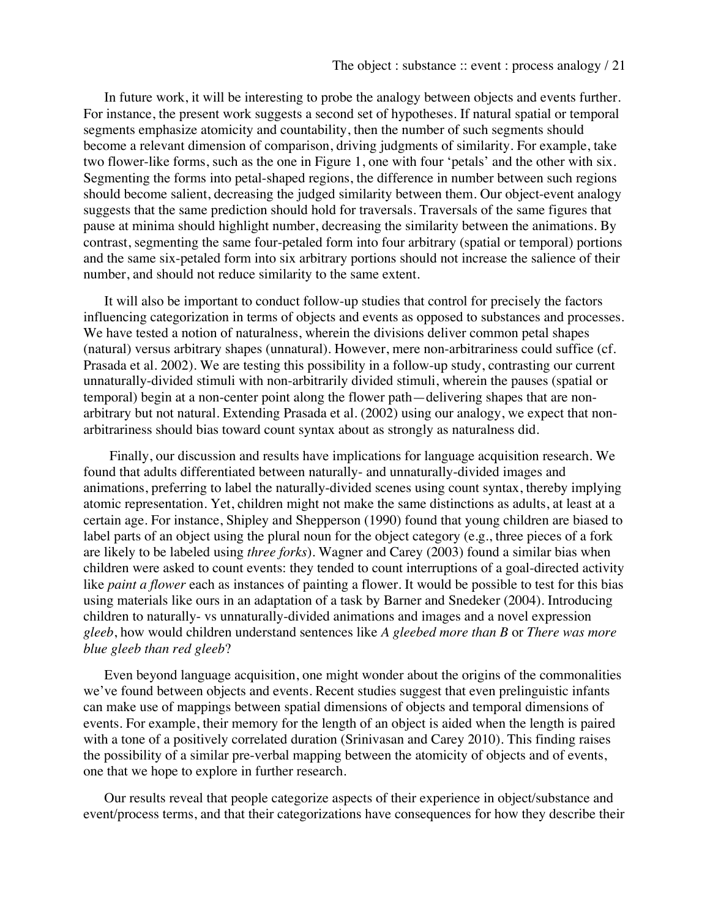In future work, it will be interesting to probe the analogy between objects and events further. For instance, the present work suggests a second set of hypotheses. If natural spatial or temporal segments emphasize atomicity and countability, then the number of such segments should become a relevant dimension of comparison, driving judgments of similarity. For example, take two flower-like forms, such as the one in Figure 1, one with four 'petals' and the other with six. Segmenting the forms into petal-shaped regions, the difference in number between such regions should become salient, decreasing the judged similarity between them. Our object-event analogy suggests that the same prediction should hold for traversals. Traversals of the same figures that pause at minima should highlight number, decreasing the similarity between the animations. By contrast, segmenting the same four-petaled form into four arbitrary (spatial or temporal) portions and the same six-petaled form into six arbitrary portions should not increase the salience of their number, and should not reduce similarity to the same extent.

It will also be important to conduct follow-up studies that control for precisely the factors influencing categorization in terms of objects and events as opposed to substances and processes. We have tested a notion of naturalness, wherein the divisions deliver common petal shapes (natural) versus arbitrary shapes (unnatural). However, mere non-arbitrariness could suffice (cf. Prasada et al. 2002). We are testing this possibility in a follow-up study, contrasting our current unnaturally-divided stimuli with non-arbitrarily divided stimuli, wherein the pauses (spatial or temporal) begin at a non-center point along the flower path—delivering shapes that are nonarbitrary but not natural. Extending Prasada et al. (2002) using our analogy, we expect that nonarbitrariness should bias toward count syntax about as strongly as naturalness did.

Finally, our discussion and results have implications for language acquisition research. We found that adults differentiated between naturally- and unnaturally-divided images and animations, preferring to label the naturally-divided scenes using count syntax, thereby implying atomic representation. Yet, children might not make the same distinctions as adults, at least at a certain age. For instance, Shipley and Shepperson (1990) found that young children are biased to label parts of an object using the plural noun for the object category (e.g., three pieces of a fork are likely to be labeled using *three forks*). Wagner and Carey (2003) found a similar bias when children were asked to count events: they tended to count interruptions of a goal-directed activity like *paint a flower* each as instances of painting a flower. It would be possible to test for this bias using materials like ours in an adaptation of a task by Barner and Snedeker (2004). Introducing children to naturally- vs unnaturally-divided animations and images and a novel expression *gleeb*, how would children understand sentences like *A gleebed more than B* or *There was more blue gleeb than red gleeb*?

Even beyond language acquisition, one might wonder about the origins of the commonalities we've found between objects and events. Recent studies suggest that even prelinguistic infants can make use of mappings between spatial dimensions of objects and temporal dimensions of events. For example, their memory for the length of an object is aided when the length is paired with a tone of a positively correlated duration (Srinivasan and Carey 2010). This finding raises the possibility of a similar pre-verbal mapping between the atomicity of objects and of events, one that we hope to explore in further research.

Our results reveal that people categorize aspects of their experience in object/substance and event/process terms, and that their categorizations have consequences for how they describe their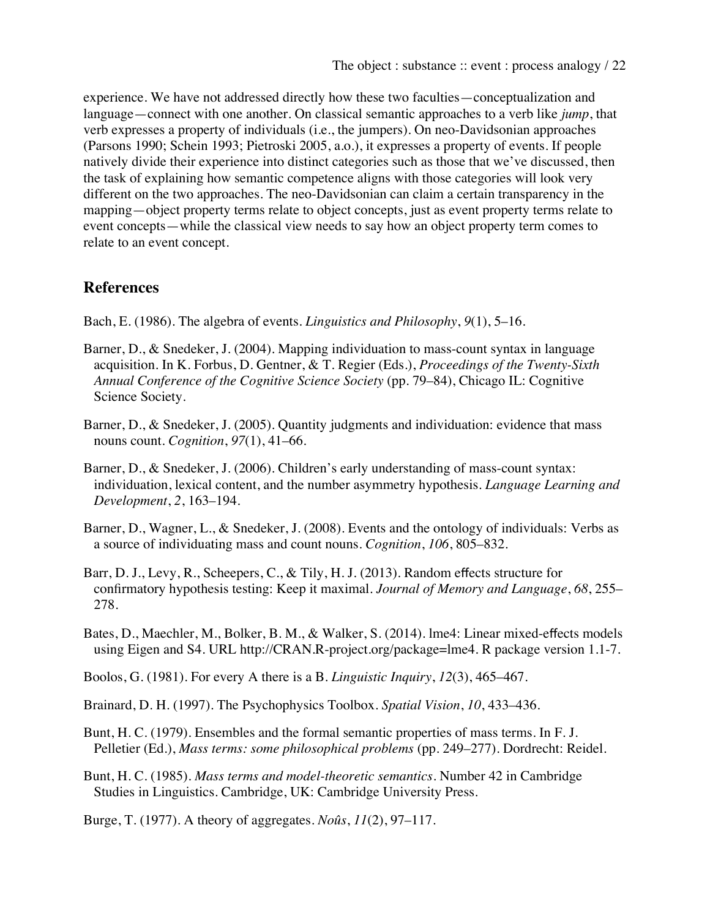experience. We have not addressed directly how these two faculties—conceptualization and language—connect with one another. On classical semantic approaches to a verb like *jump*, that verb expresses a property of individuals (i.e., the jumpers). On neo-Davidsonian approaches (Parsons 1990; Schein 1993; Pietroski 2005, a.o.), it expresses a property of events. If people natively divide their experience into distinct categories such as those that we've discussed, then the task of explaining how semantic competence aligns with those categories will look very different on the two approaches. The neo-Davidsonian can claim a certain transparency in the mapping—object property terms relate to object concepts, just as event property terms relate to event concepts—while the classical view needs to say how an object property term comes to relate to an event concept.

# **References**

- Bach, E. (1986). The algebra of events. *Linguistics and Philosophy*, *9*(1), 5–16.
- Barner, D., & Snedeker, J. (2004). Mapping individuation to mass-count syntax in language acquisition. In K. Forbus, D. Gentner, & T. Regier (Eds.), *Proceedings of the Twenty-Sixth Annual Conference of the Cognitive Science Society* (pp. 79–84), Chicago IL: Cognitive Science Society.
- Barner, D., & Snedeker, J. (2005). Quantity judgments and individuation: evidence that mass nouns count. *Cognition*, *97*(1), 41–66.
- Barner, D., & Snedeker, J. (2006). Children's early understanding of mass-count syntax: individuation, lexical content, and the number asymmetry hypothesis. *Language Learning and Development*, *2*, 163–194.
- Barner, D., Wagner, L., & Snedeker, J. (2008). Events and the ontology of individuals: Verbs as a source of individuating mass and count nouns. *Cognition*, *106*, 805–832.
- Barr, D. J., Levy, R., Scheepers, C., & Tily, H. J. (2013). Random effects structure for confirmatory hypothesis testing: Keep it maximal. *Journal of Memory and Language*, *68*, 255– 278.
- Bates, D., Maechler, M., Bolker, B. M., & Walker, S. (2014). lme4: Linear mixed-effects models using Eigen and S4. URL http://CRAN.R-project.org/package=lme4. R package version 1.1-7.

Boolos, G. (1981). For every A there is a B. *Linguistic Inquiry*, *12*(3), 465–467.

- Brainard, D. H. (1997). The Psychophysics Toolbox. *Spatial Vision*, *10*, 433–436.
- Bunt, H. C. (1979). Ensembles and the formal semantic properties of mass terms. In F. J. Pelletier (Ed.), *Mass terms: some philosophical problems* (pp. 249–277). Dordrecht: Reidel.
- Bunt, H. C. (1985). *Mass terms and model-theoretic semantics*. Number 42 in Cambridge Studies in Linguistics. Cambridge, UK: Cambridge University Press.

Burge, T. (1977). A theory of aggregates. *Noûs*, *11*(2), 97–117.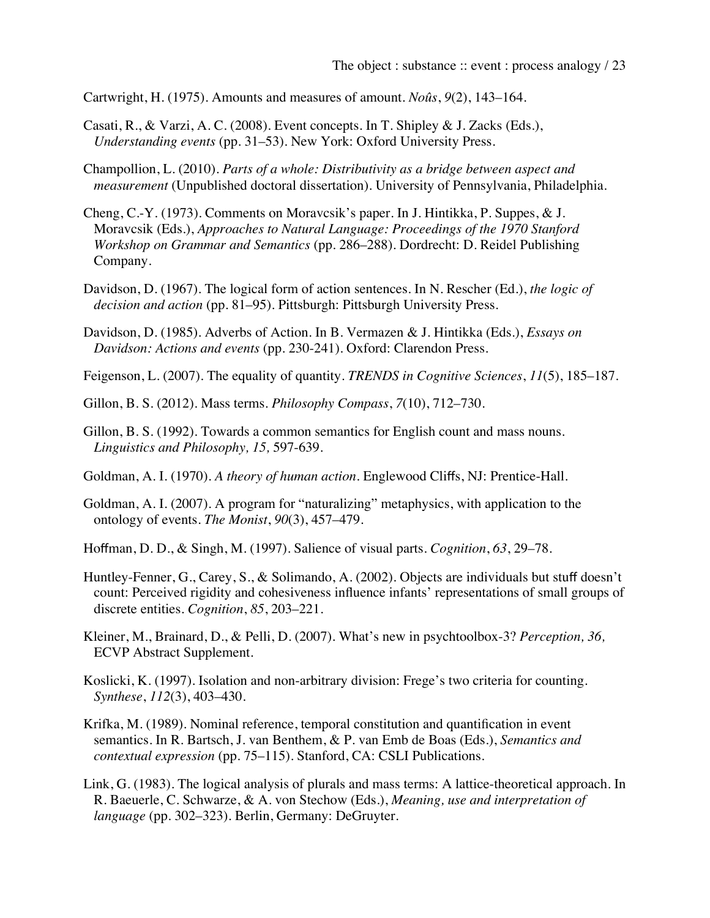Cartwright, H. (1975). Amounts and measures of amount. *Noûs*, *9*(2), 143–164.

- Casati, R., & Varzi, A. C. (2008). Event concepts. In T. Shipley & J. Zacks (Eds.), *Understanding events* (pp. 31–53). New York: Oxford University Press.
- Champollion, L. (2010). *Parts of a whole: Distributivity as a bridge between aspect and measurement* (Unpublished doctoral dissertation). University of Pennsylvania, Philadelphia.
- Cheng, C.-Y. (1973). Comments on Moravcsik's paper. In J. Hintikka, P. Suppes, & J. Moravcsik (Eds.), *Approaches to Natural Language: Proceedings of the 1970 Stanford Workshop on Grammar and Semantics* (pp. 286–288). Dordrecht: D. Reidel Publishing Company.
- Davidson, D. (1967). The logical form of action sentences. In N. Rescher (Ed.), *the logic of decision and action* (pp. 81–95). Pittsburgh: Pittsburgh University Press.
- Davidson, D. (1985). Adverbs of Action. In B. Vermazen & J. Hintikka (Eds.), *Essays on Davidson: Actions and events* (pp. 230-241). Oxford: Clarendon Press.
- Feigenson, L. (2007). The equality of quantity. *TRENDS in Cognitive Sciences*, *11*(5), 185–187.
- Gillon, B. S. (2012). Mass terms. *Philosophy Compass*, *7*(10), 712–730.
- Gillon, B. S. (1992). Towards a common semantics for English count and mass nouns. *Linguistics and Philosophy, 15,* 597-639.
- Goldman, A. I. (1970). *A theory of human action*. Englewood Cliffs, NJ: Prentice-Hall.
- Goldman, A. I. (2007). A program for "naturalizing" metaphysics, with application to the ontology of events. *The Monist*, *90*(3), 457–479.
- Hoffman, D. D., & Singh, M. (1997). Salience of visual parts. *Cognition*, *63*, 29–78.
- Huntley-Fenner, G., Carey, S., & Solimando, A. (2002). Objects are individuals but stuff doesn't count: Perceived rigidity and cohesiveness influence infants' representations of small groups of discrete entities. *Cognition*, *85*, 203–221.
- Kleiner, M., Brainard, D., & Pelli, D. (2007). What's new in psychtoolbox-3? *Perception, 36,* ECVP Abstract Supplement.
- Koslicki, K. (1997). Isolation and non-arbitrary division: Frege's two criteria for counting. *Synthese*, *112*(3), 403–430.
- Krifka, M. (1989). Nominal reference, temporal constitution and quantification in event semantics. In R. Bartsch, J. van Benthem, & P. van Emb de Boas (Eds.), *Semantics and contextual expression* (pp. 75–115). Stanford, CA: CSLI Publications.
- Link, G. (1983). The logical analysis of plurals and mass terms: A lattice-theoretical approach. In R. Baeuerle, C. Schwarze, & A. von Stechow (Eds.), *Meaning, use and interpretation of language* (pp. 302–323). Berlin, Germany: DeGruyter.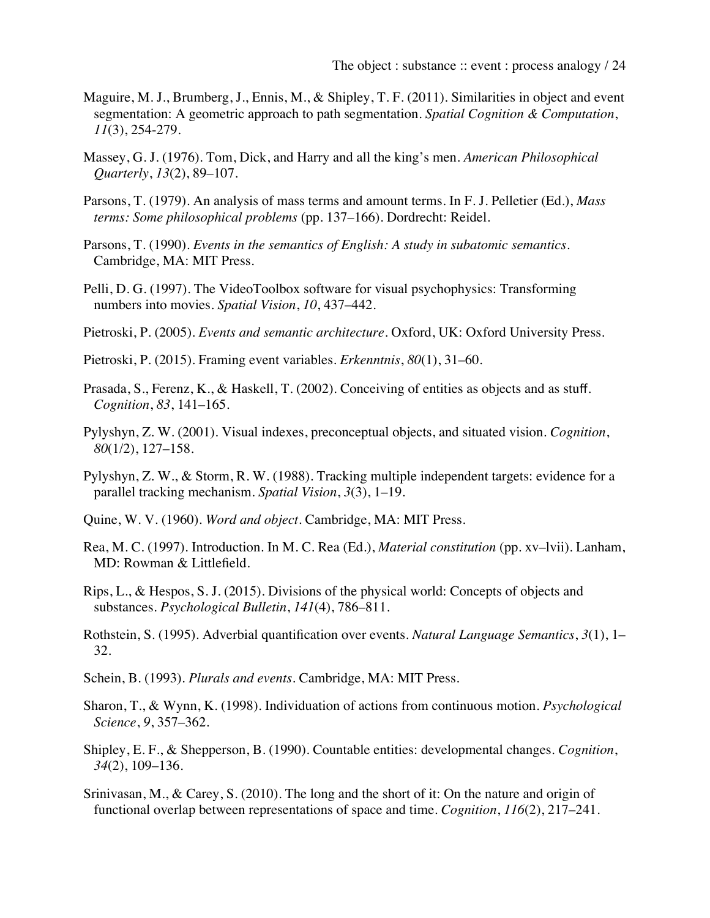- Maguire, M. J., Brumberg, J., Ennis, M., & Shipley, T. F. (2011). Similarities in object and event segmentation: A geometric approach to path segmentation. *Spatial Cognition & Computation*, *11*(3), 254-279.
- Massey, G. J. (1976). Tom, Dick, and Harry and all the king's men. *American Philosophical Quarterly*, *13*(2), 89–107.
- Parsons, T. (1979). An analysis of mass terms and amount terms. In F. J. Pelletier (Ed.), *Mass terms: Some philosophical problems* (pp. 137–166). Dordrecht: Reidel.
- Parsons, T. (1990). *Events in the semantics of English: A study in subatomic semantics*. Cambridge, MA: MIT Press.
- Pelli, D. G. (1997). The VideoToolbox software for visual psychophysics: Transforming numbers into movies. *Spatial Vision*, *10*, 437–442.
- Pietroski, P. (2005). *Events and semantic architecture*. Oxford, UK: Oxford University Press.
- Pietroski, P. (2015). Framing event variables. *Erkenntnis*, *80*(1), 31–60.
- Prasada, S., Ferenz, K., & Haskell, T. (2002). Conceiving of entities as objects and as stuff. *Cognition*, *83*, 141–165.
- Pylyshyn, Z. W. (2001). Visual indexes, preconceptual objects, and situated vision. *Cognition*, *80*(1/2), 127–158.
- Pylyshyn, Z. W., & Storm, R. W. (1988). Tracking multiple independent targets: evidence for a parallel tracking mechanism. *Spatial Vision*, *3*(3), 1–19.
- Quine, W. V. (1960). *Word and object*. Cambridge, MA: MIT Press.
- Rea, M. C. (1997). Introduction. In M. C. Rea (Ed.), *Material constitution* (pp. xv–lvii). Lanham, MD: Rowman & Littlefield.
- Rips, L., & Hespos, S. J. (2015). Divisions of the physical world: Concepts of objects and substances. *Psychological Bulletin*, *141*(4), 786–811.
- Rothstein, S. (1995). Adverbial quantification over events. *Natural Language Semantics*, *3*(1), 1– 32.
- Schein, B. (1993). *Plurals and events*. Cambridge, MA: MIT Press.
- Sharon, T., & Wynn, K. (1998). Individuation of actions from continuous motion. *Psychological Science*, *9*, 357–362.
- Shipley, E. F., & Shepperson, B. (1990). Countable entities: developmental changes. *Cognition*, *34*(2), 109–136.
- Srinivasan, M., & Carey, S. (2010). The long and the short of it: On the nature and origin of functional overlap between representations of space and time. *Cognition*, *116*(2), 217–241.